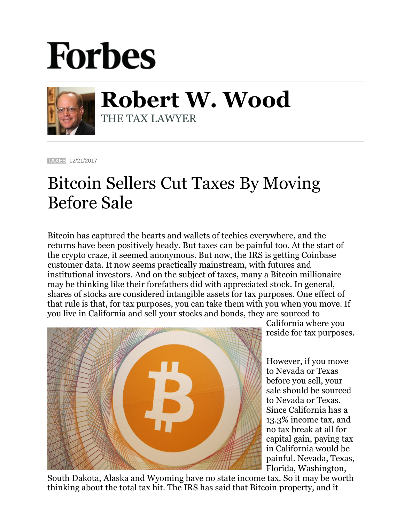## **Forbes**



**Robert W. Wood** THE TAX LAWYER

**[TAXES](https://www.forbes.com/taxes)** 12/21/2017

## Bitcoin Sellers Cut Taxes By Moving Before Sale

Bitcoin has captured the hearts and wallets of techies everywhere, and the returns have been positively heady. But taxes can be painful too. At the start of the crypto craze, it seemed anonymous. But now, the IRS is getting Coinbase customer data. It now seems practically mainstream, with futures and institutional investors. And on the subject of taxes, many a Bitcoin millionaire may be thinking like their forefathers did with appreciated stock. In general, shares of stocks are considered intangible assets for tax purposes. One effect of that rule is that, for tax purposes, you can take them with you when you move. If you live in California and sell your stocks and bonds, they are sourced to



California where you reside for tax purposes.

However, if you move to Nevada or Texas before you sell, your sale should be sourced to Nevada or Texas. Since California has a 13.3% income tax, and no tax break at all for capital gain, paying tax in California would be painful. Nevada, Texas, Florida, Washington,

South Dakota, Alaska and Wyoming have no state income tax. So it may be worth thinking about the total tax hit. The IRS has said that Bitcoin property, and it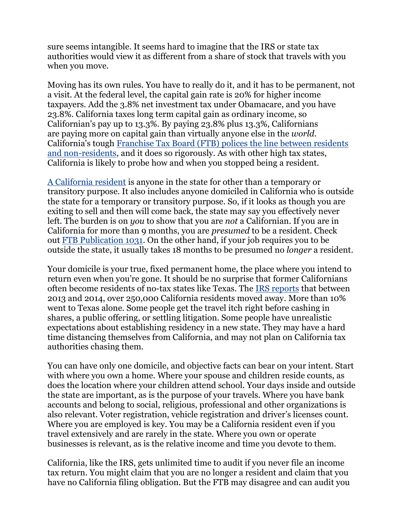sure seems intangible. It seems hard to imagine that the IRS or state tax authorities would view it as different from a share of stock that travels with you when you move.

Moving has its own rules. You have to really do it, and it has to be permanent, not a visit. At the federal level, the capital gain rate is 20% for higher income taxpayers. Add the 3.8% net investment tax under Obamacare, and you have 23.8%. California taxes long term capital gain as ordinary income, so Californian's pay up to 13.3%. By paying 23.8% plus 13.3%, Californians are paying more on capital gain than virtually anyone else in the *world*. California's tough [Franchise Tax Board \(FTB\) polices the line between residents](https://www.ftb.ca.gov/individuals/fileRtn/Nonresidents-Part-Year-Residents.shtml#residency_status)  [and non-residents,](https://www.ftb.ca.gov/individuals/fileRtn/Nonresidents-Part-Year-Residents.shtml#residency_status) and it does so rigorously. As with other high tax states, California is likely to probe how and when you stopped being a resident.

A [California resident](https://www.forbes.com/sites/robertwood/2016/05/17/can-you-avoid-california-taxes-by-moving/#3d3356211694) is anyone in the state for other than a temporary or transitory purpose. It also includes anyone domiciled in California who is outside the state for a temporary or transitory purpose. So, if it looks as though you are exiting to sell and then will come back, the state may say you effectively never left. The burden is on *you* to show that you are *not* a Californian. If you are in California for more than 9 months, you are *presumed* to be a resident. Check out [FTB Publication 1031.](https://www.ftb.ca.gov/forms/2016/16_1031.pdf) On the other hand, if your job requires you to be outside the state, it usually takes 18 months to be presumed no *longer* a resident.

Your domicile is your true, fixed permanent home, the place where you intend to return even when you're gone. It should be no surprise that former Californians often become residents of no-tax states like Texas. The [IRS reports](https://www.irs.gov/uac/soi-tax-stats-migration-data-2013-2014) that between 2013 and 2014, over 250,000 California residents moved away. More than 10% went to Texas alone. Some people get the travel itch right before cashing in shares, a public offering, or settling litigation. Some people have unrealistic expectations about establishing residency in a new state. They may have a hard time distancing themselves from California, and may not plan on California tax authorities chasing them.

You can have only one domicile, and objective facts can bear on your intent. Start with where you own a home. Where your spouse and children reside counts, as does the location where your children attend school. Your days inside and outside the state are important, as is the purpose of your travels. Where you have bank accounts and belong to social, religious, professional and other organizations is also relevant. Voter registration, vehicle registration and driver's licenses count. Where you are employed is key. You may be a California resident even if you travel extensively and are rarely in the state. Where you own or operate businesses is relevant, as is the relative income and time you devote to them.

California, like the IRS, gets unlimited time to audit if you never file an income tax return. You might claim that you are no longer a resident and claim that you have no California filing obligation. But the FTB may disagree and can audit you